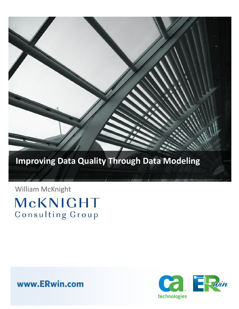

# **Improving Data Quality Through Data Modeling**

William McKnight McKNIGHT Consulting Group

**www.ERwin.com**

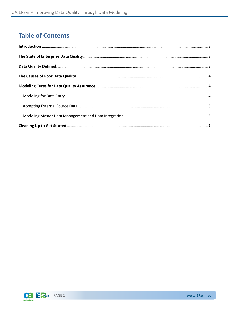### **Table of Contents**

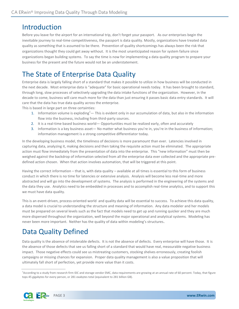#### Introduction

Before you leave for the airport for an international trip, don't forget your passport. As our enterprises begin the inevitable journey to real-time competitiveness, the passport is data quality. Mostly, organizations have treated data quality as something that is assumed to be there. Prevention of quality shortcomings has always been the risk that organizations thought they could get away without. It is the most unanticipated reason for system failure since organizations began building systems. To say the time is now for implementing a data quality program to prepare your business for the present and the future would not be an understatement.

### The State of Enterprise Data Quality

Enterprise data is largely falling short of a standard that makes it possible to utilize in how business will be conducted in the next decade. Most enterprise data is "adequate" for basic operational needs today. It has been brought to standard, through long, slow processes of selectively upgrading the data intake functions of the organization. However, in the decade to come, business will care much more for the data than just ensuring it passes basic data entry standards. It will care that the data has true data quality across the enterprise.

This is based in large part on three certainties:

- 1. Information volume is exploding<sup>1</sup>— This is evident only in our accumulation of data, but also in the information flow into the business, including from third-party sources.
- 2. It is a real-time based business world Opportunities must be realized early, often and accurately
- 3. Information is a key business asset— No matter what business you're in, you're in the business of information; information management is a strong competitive differentiator today.

In the developing business model, the timeliness of decisions is more paramount than ever. Latencies involved in capturing data, analyzing it, making decisions and then taking the requisite action must be eliminated. The appropriate action must flow immediately from the presentation of data into the enterprise. This "new information" must then be weighed against the backdrop of information selected from all the enterprise data ever collected and the appropriate predefined action chosen. When that action involves automation, that will be triggered at this point.

Having the correct information – that is, with data quality – available at all times is essential to this form of business conduct in which there is no time for latencies or extensive analysis. Analysis will become less real-time and more abstracted and will go into the development of systems. The analysis is performed in the engineering of the systems and the data they use. Analytics need to be embedded in processes and to accomplish real-time analytics, and to support this we must have data quality.

This is an event-driven, process-oriented world and quality data will be essential to success. To achieve this data quality, a data model is crucial to understanding the structure and meaning of information. Any data modeler and her models must be prepared on several levels such as the fact that models need to get up and running quicker and they are much more dispersed throughout the organization, well beyond the major operational and analytical systems. Modeling has never been more important. Neither has the quality of data within modeling's structures.

### Data Quality Defined

Data quality is the absence of intolerable defects. It is not the absence of defects. Every enterprise will have those. It is the absence of those defects that see us falling short of a standard that would have real, measurable negative business impact. Those negative effects could see us mistreating customers, stocking shelves erroneously, creating foolish campaigns or missing chances for expansion. Proper data quality management is also a value proposition that will ultimately fall short of perfection, yet provide more value than it costs.

<sup>&</sup>lt;sup>1</sup>According to a study from research firm IDC and storage vendor EMC, data requirements are growing at an annual rate of 60 percent. Today, that figure tops 45 gigabytes for every person, or 281 exabytes total (equivalent to 281 billion GB).

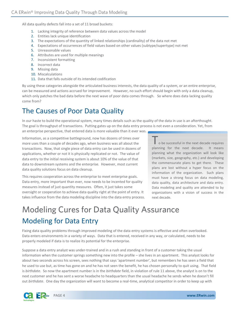All data quality defects fall into a set of 11 broad buckets:

- 1. Lacking integrity of reference between data values across the model
- 2. Entities lack unique identification
- 3. The expectations of the quantity of linked relationships (cardinality) of the data not met
- 4. Expectations of occurrences of field values based on other values (subtype/supertype) not met
- 5. Unreasonable values
- 6. Attributes are used for multiple meanings
- 7. Inconsistent formatting
- 8. Incorrect data
- 9. Missing data
- 10. Miscalculations
- 11. Data that falls outside of its intended codification

By using these categories alongside the articulated business interests, the data quality of a system, or an entire enterprise, can be measured and actions accrued for improvement. However, no such effort should begin with only a data cleanup, which only patches the bad data before the next wave of poor data comes through. So where does data lacking quality come from?

### The Causes of Poor Data Quality

In our haste to build the operational system, many times details such as the quality of the data in use is an afterthought. The goal is throughput of transactions. Putting gates up on the data entry process is not even a consideration. Yet, from an enterprise perspective, that entered data is more valuable than it ever was.

Information, as a competitive battleground, now has dozens of times over more uses than a couple of decades ago, when business was all about the transactions. Now, that single piece of data entry can be used in dozens of applications, whether or not it is physically replicated or not. The value of data entry to the initial receiving system is about 10% of the value of that data to downstream systems and the enterprise. However, most current data quality solutions focus on data cleanup.

This requires cooperation across the enterprise to meet enterprise goals. Data entry, more important than ever, now needs to be incented for quality measures instead of just quantity measures. Often, it just takes some oversight or cooperation to achieve data quality right at the point of entry. It takes influence from the data modeling discipline into the data entry process.

o be successful in the next decade requires planning for the next decade. It means planning what the organization will look like (markets, size, geography, etc.) and developing the commensurate plans to get there. These plans are lost without a hyper focus on the information of the organization. Such plans must have a strong focus on data modeling, data quality, data architecture and data entry. Data modeling and quality are attended to by organizations with a vision of success in the next decade.

# Modeling Cures for Data Quality Assurance Modeling for Data Entry

Fixing data quality problems through improved modeling of the data entry systems is effective and often overlooked. Data enters environments in a variety of ways. Data that is entered, received in any way, or calculated, needs to be properly modeled if data is to realize its potential for the enterprise.

Suppose a data entry analyst was under-trained and in a rush and standing in front of a customer taking the usual information when the customer springs something new into the profile – she lives in an apartment. This analyst looks for about two seconds across his screen, sees nothing that says 'apartment number', but remembers he has seen a field that he used to use but, as time has gone on and he has not seen the benefit, he has chosen personally to quit using. That field is *birthdate*. So now the apartment number is in the *birthdate* field, in violation of rule 11 above, the analyst is on to the next customer and he has sent a worse headache to headquarters than the usual headache he sends when he doesn't fill out *birthdate*. One day the organization will want to become a real-time, analytical competitor in order to keep up with

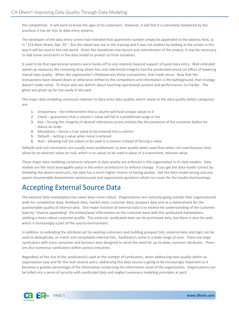the competition. It will want to know the ages of its customers. However, it will find it is extremely hampered by the practices it has let into its data entry systems.

The developer of the data entry screen had intended that apartment number simply be appended to the address field, as in "123 Main Street, Apt. 55". But this detail was not in the training and it was not evident by looking at the screen in the way it will be used in the real world. Given the sometimes low tenure and commitment of the analyst, it may be necessary to add some constraints in the data model to protect us from ourselves.

It used to be that operational systems were hands-off to any interests beyond support of quick data entry. Well-intended speed-up measures like removing drop-down lists and referential integrity had the predictable knock-on effect of lowering overall data quality. When the organization's lifeblood was those transactions, that made sense. Now that the transactions have slowed down or otherwise shifted to the competitors and information is the battleground, that strategy doesn't make sense. To those who are skittish about touching operational systems and performance, try harder. The ghost was given up far too easily in the past.

The major data modeling constructs relevant to data entry data quality, which relate to the data quality defect categories are:

- 1. Uniqueness the enforcement that a column will have unique values in it
- 2. Check guarantees that a column's value will fall in a predefined range or list
- 3. Key forcing the integrity of desired references across entities like the existence of the customer before he places an order
- 4. Mandatory forces a true value to be entered into a column
- 5. Default setting a value when none is entered
- 6. Null allowing null (no value) to be used in a column instead of forcing a value

Defaults and null constraints are usually more problematic to data quality when used than when not used because they allow for an abstract value (or null, which is no value) to be used in place of a customized, relevant value.

These major data modeling constructs relevant to data quality are enforced in the organization in its data models. Data models are the most leveragable place in the entire architecture to enforce change. If you get the data model correct by following the above constructs, the data has a much higher chance of having quality. Get the data model wrong and you spawn innumerable downstream workarounds and organization gyrations which run cover for the model shortcomings.

### Accepting External Source Data

The external data marketplace has never been more robust. Organizations are routinely going outside their organizational walls for competitive data, feedback data, market data, customer data, prospect data and as a replacement for the questionable quality of internal data. One major function of external data is to extend the understanding of the customer base by "reverse-appending" the limited/poor information on the customer base with the syndicated marketplace, yielding a more robust customer profile. This external, syndicated data can be purchased data, but there is also the web, which is increasingly a part of the source environment.

In addition to extending the attribute set for existing customers and building prospect lists, external data and logic can be used to deduplicate, or match and consolidate internal lists. Syndicators come in a wide range of sizes. There are large syndicators with mass consumer and business data designed to serve the need for up-to-date, common attributes. There are also numerous syndicators within various industries.

Regardless of the size of the syndicator(s) used or the number of syndicators, when addressing data quality within an organization now and for the next several years, addressing this data source is going to be increasingly important as it becomes a greater percentage of the information comprising the information asset of the organization. Organizations can be lulled into a sense of security with syndicated data and neglect necessary modeling principles at peril.

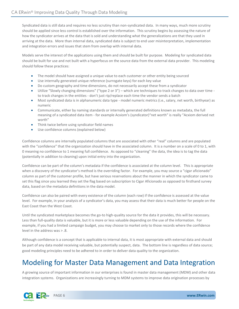Syndicated data is still data and requires no less scrutiny than non-syndicated data. In many ways, much more scrutiny should be applied since less control is established over the information. This scrutiny begins by assessing the nature of how the syndicator arrives at the data that is sold and understanding what the generalizations are that they used in arriving at the data. More than internal data, syndicated data is subject to end user misinterpretation, implementation and integration errors and issues that stem from overlap with internal data.

Models serve the interest of the applications using them and should be built for purpose. Modeling for syndicated data should be built for use and not built with a hyperfocus on the source data from the external data provider. This modeling should follow these practices:

- The model should have assigned a unique value to each customer or other entity being sourced
- Use internally generated unique reference (surrogate keys) for each key value
- Do custom geography and time dimensions, do not necessarily accept these from a syndicator
- Utilize "Slowly changing dimensions" ("type 2 or 3") which are techniques to track changes to data over time to track changes in the entities - don't just rip/replace each time the vendor sends a batch
- Most syndicated data is in alphanumeric data type model numeric metrics (i.e., salary, net worth, birthyear) as numeric
- Communicate, either by naming standards or internally generated definitions known as metadata, the full meaning of a syndicated data item - for example Acxiom's (syndicator)"net worth" is really "Acxiom derived net worth"
- Think twice before using syndicator field names
- Use confidence columns (explained below)

Confidence columns are internally populated columns that are associated with other "real" columns and are populated with the "confidence" that the organization should have in the associated column. It is a number on a scale of 0 to 1, with 0 meaning no confidence to 1 meaning full confidence. As opposed to "cleaning" the data, the idea is to tag the data (potentially in addition to cleaning) upon initial entry into the organization.

Confidence can be part of the column's metadata if the confidence is associated at the column level. This is appropriate when a discovery of the syndicator's method is the overriding factor. For example, you may source a "cigar aficionado" column as part of the customer profile, but have serious reservations about the manner in which the syndicator came to set this flag since you learned they set the flag based on subscription to Cigar Aficionado as opposed to firsthand survey data, based on the metadata definitions in the data model.

Confidence can also be paired with every existence of the column (each row) if the confidence is assessed at the value level. For example, in your analysis of a syndicator's data, you may assess that their data is much better for people on the East Coast than the West Coast.

Until the syndicated marketplace becomes the go-to high-quality source for the data it provides, this will be necessary. Less than full-quality data is valuable, but it is more or less valuable depending on the use of the information. For example, if you had a limited campaign budget, you may choose to market only to those records where the confidence level in the address was > .8.

Although confidence is a concept that is applicable to internal data, it is most appropriate with external data and should be part of any data model receiving valuable, but potentially suspect, data. The bottom line is regardless of data source; good modeling principles need to be adhered to in order to deliver data quality to the organization.

### Modeling for Master Data Management and Data Integration

A growing source of important information in our enterprises is found in master data management (MDM) and other data integration systems. Organizations are increasingly turning to MDM systems to improve data origination processes by

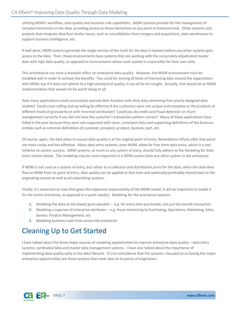utilizing MDM's workflow, data quality and business rule capabilities. MDM systems provide for the management of complex hierarchies in the data, providing access to those hierarchies at any point in historical time. Other systems and projects that integrate data face similar issues, such as consolidation from mergers and acquisitions, data warehouses to support business intelligence, etc.

If well done, MDM systems generate the single version of the truth for the data it masters before any other systems gain access to the data. Then, those environments have systems that are working with the corporately adjudicated master data with high data quality, as opposed to environments where each system is responsible for their own data.

This architecture can have a dramatic effect on enterprise data quality. However, the MDM environment must be modeled well in order to achieve the benefits. You could be moving all kinds of interesting data around the organization with MDM, but if it does not adhere to a high standard of quality, it can all be for naught. Actually, that would be an MDM implementation that would not be worth doing at all.

How many applications could successfully execute their function with dirty data stemming from poorly designed data models? Could cross-selling and up-selling be effective if the customers were not unique and complete or the products at different levels of granularity or with incorrect attribution? Could you do credit card fraud detection or churn management correctly if you did not have the customer's transaction pattern correct? Many of these applications have failed in the past because they were not supported with clean, consistent data and supporting definitions of the business entities such as common definitions of customer, prospect, product, location, part, etc.

Of course, again, the best place to ensure data quality is at the original point of entry. Remediation efforts after that point are more costly and less effective. Many data entry systems, even MDM, allow for free-form data entry, which is a real inhibitor to system success. MDM systems, as much as any system of entry, should fully adhere to the Modeling for Data Entry section above. The modeling may be more important in a MDM system than any other system in the enterprise.

If MDM is not used as a system of entry, but rather as a collection and distribution point for the data, when the data does flow to MDM from its point of entry, data quality can be applied at that time and optionally/preferably shared back to the originating system as well as all subscribing systems.

Finally, it's important to note that given the expansive responsibility of the MDM model, it will be important to model it for the entire enterprise, as opposed to a point need(s). Modeling for the enterprise requires:

- 1. Modeling the data at the lowest grain possible e.g. for every item purchased, not just the overall transaction
- 2. Modeling a superset of enterprise attributes e.g. those interesting to Purchasing, Operations, Marketing, Sales, Service, Product Management, etc
- 3. Modeling business rules from across the enterprise

## Cleaning Up to Get Started

I have talked about the three major sources of modeling opportunities to improve enterprise data quality – data entry systems, syndicated data and master data management systems. I have also talked about the importance of implementing data quality early in the data lifecycle. It's no coincidence that the systems I focused on as having the major enterprise opportunities are those systems that meet data at its points of origination.

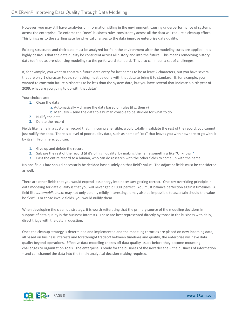However, you may still have terabytes of information sitting in the environment, causing underperformance of systems across the enterprise. To enforce the "new" business rules consistently across all the data will require a cleanup effort. This brings us to the starting gate for physical changes to the data improve enterprise data quality.

Existing structures and their data must be analyzed for fit in the environment after the modeling cures are applied. It is highly desirous that the data quality be consistent across all history and into the future. This means remedying history data (defined as pre-cleansing modeling) to the go-forward standard. This also can mean a set of challenges.

If, for example, you want to constrain future data entry for last names to be at least 2 characters, but you have several that are only 1 character today, something must be done with that data to bring it to standard. If, for example, you wanted to constrain future birthdates to be less than the system date, but you have several that indicate a birth year of 2099, what are you going to do with that data?

Your choices are:

- 1. Clean the data
	- a. Automatically change the data based on rules (if x, then  $y$ )
	- b. Manually send the data to a human console to be studied for what to do
- 2. Nullify the data
- 3. Delete the record

Fields like name in a customer record that, if incomprehensible, would totally invalidate the rest of the record, you cannot just nullify the data. There is a level of poor quality data, such as name of "xxx" that leaves you with nowhere to go with it by itself. From here, you can:

- 1. Give up and delete the record
- 2. Salvage the rest of the record (if it's of high quality) by making the name something like "Unknown"
- 3. Pass the entire record to a human, who can do research with the other fields to come up with the name

No one field's fate should necessarily be decided based solely on that field's value. The adjacent fields must be considered as well.

There are other fields that you would expend less energy into necessary getting correct. One key overriding principle in data modeling for data quality is that you will never get it 100% perfect. You must balance perfection against timelines. A field like *automobile make* may not only be only mildly interesting, it may also be impossible to ascertain should the value be "xxx". For those invalid fields, you would nullify them.

When developing the clean up strategy, it is worth reiterating that the primary source of the modeling decisions in support of data quality is the business interests. These are best represented directly by those in the business with daily, direct triage with the data in question.

Once the cleanup strategy is determined and implemented and the modeling throttles are placed on new incoming data, all based on business interests and forethought tradeoff between timelines and quality, the enterprise will have data quality beyond operations. Effective data modeling chokes off data quality issues before they become mounting challenges to organization goals. The enterprise is ready for the business of the next decade – the business of information – and can channel the data into the timely analytical decision-making required.